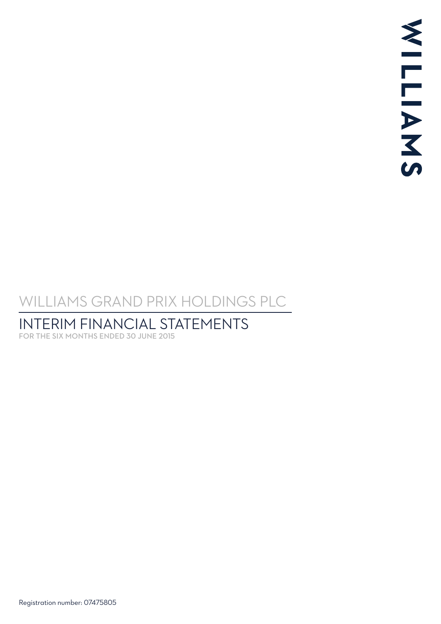# <span id="page-0-0"></span>WILLIAMS GRAND PRIX HOLDINGS PLC

# INTERIM FINANCIAL STATEMENTS

FOR THE SIX MONTHS ENDED 30 JUNE 2015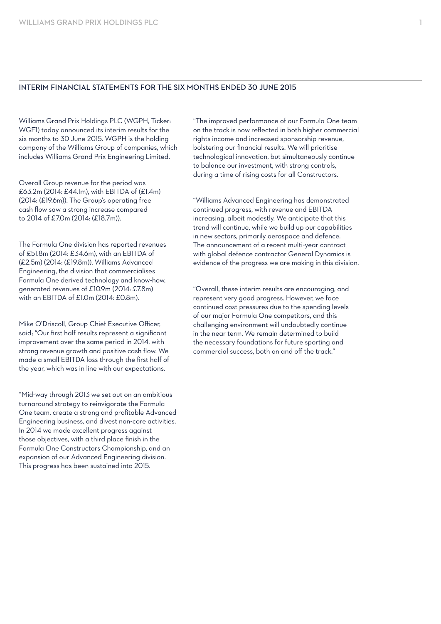#### INTERIM FINANCIAL STATEMENTS FOR THE SIX MONTHS ENDED 30 JUNE 2015

Williams Grand Prix Holdings PLC (WGPH, Ticker: WGF1) today announced its interim results for the six months to 30 June 2015. WGPH is the holding company of the Williams Group of companies, which includes Williams Grand Prix Engineering Limited.

Overall Group revenue for the period was £63.2m (2014: £44.1m), with EBITDA of (£1.4m) (2014: (£19.6m)). The Group's operating free cash flow saw a strong increase compared to 2014 of £7.0m (2014: (£18.7m)).

The Formula One division has reported revenues of £51.8m (2014: £34.6m), with an EBITDA of (£2.5m) (2014: (£19.8m)). Williams Advanced Engineering, the division that commercialises Formula One derived technology and know-how, generated revenues of £10.9m (2014: £7.8m) with an EBITDA of £1.0m (2014: £0.8m).

Mike O'Driscoll, Group Chief Executive Officer, said; "Our first half results represent a significant improvement over the same period in 2014, with strong revenue growth and positive cash flow. We made a small EBITDA loss through the first half of the year, which was in line with our expectations.

"Mid-way through 2013 we set out on an ambitious turnaround strategy to reinvigorate the Formula One team, create a strong and profitable Advanced Engineering business, and divest non-core activities. In 2014 we made excellent progress against those objectives, with a third place finish in the Formula One Constructors Championship, and an expansion of our Advanced Engineering division. This progress has been sustained into 2015.

"The improved performance of our Formula One team on the track is now reflected in both higher commercial rights income and increased sponsorship revenue, bolstering our financial results. We will prioritise technological innovation, but simultaneously continue to balance our investment, with strong controls, during a time of rising costs for all Constructors.

"Williams Advanced Engineering has demonstrated continued progress, with revenue and EBITDA increasing, albeit modestly. We anticipate that this trend will continue, while we build up our capabilities in new sectors, primarily aerospace and defence. The announcement of a recent multi-year contract with global defence contractor General Dynamics is evidence of the progress we are making in this division.

"Overall, these interim results are encouraging, and represent very good progress. However, we face continued cost pressures due to the spending levels of our major Formula One competitors, and this challenging environment will undoubtedly continue in the near term. We remain determined to build the necessary foundations for future sporting and commercial success, both on and off the track."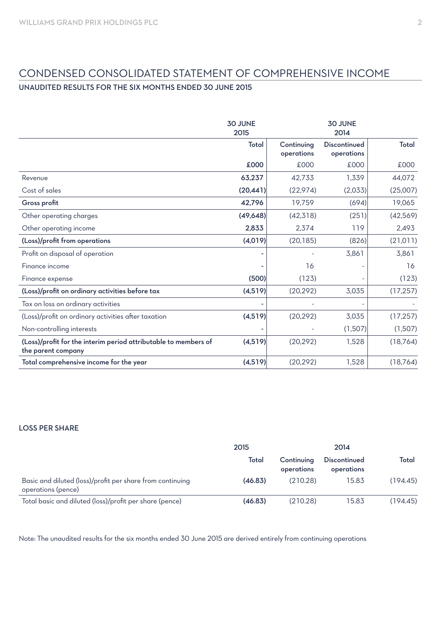## CONDENSED CONSOLIDATED STATEMENT OF COMPREHENSIVE INCOME

## UNAUDITED RESULTS FOR THE SIX MONTHS ENDED 30 JUNE 2015

|                                                                                       | <b>30 JUNE</b><br>2015 |                          | <b>30 JUNE</b><br>2014     |           |
|---------------------------------------------------------------------------------------|------------------------|--------------------------|----------------------------|-----------|
|                                                                                       | Total                  | Continuing<br>operations | Discontinued<br>operations | Total     |
|                                                                                       | £000                   | £000                     | £000                       | £000      |
| Revenue                                                                               | 63,237                 | 42,733                   | 1,339                      | 44,072    |
| Cost of sales                                                                         | (20, 441)              | (22, 974)                | (2,033)                    | (25,007)  |
| Gross profit                                                                          | 42,796                 | 19,759                   | (694)                      | 19,065    |
| Other operating charges                                                               | (49, 648)              | (42, 318)                | (251)                      | (42,569)  |
| Other operating income                                                                | 2,833                  | 2,374                    | 119                        | 2,493     |
| (Loss)/profit from operations                                                         | (4,019)                | (20, 185)                | (826)                      | (21, 011) |
| Profit on disposal of operation                                                       |                        |                          | 3,861                      | 3,861     |
| Finance income                                                                        |                        | 16                       |                            | 16        |
| Finance expense                                                                       | (500)                  | (123)                    |                            | (123)     |
| (Loss)/profit on ordinary activities before tax                                       | (4,519)                | (20, 292)                | 3,035                      | (17, 257) |
| Tax on loss on ordinary activities                                                    |                        |                          |                            |           |
| (Loss)/profit on ordinary activities after taxation                                   | (4,519)                | (20, 292)                | 3,035                      | (17, 257) |
| Non-controlling interests                                                             |                        |                          | (1,507)                    | (1,507)   |
| (Loss)/profit for the interim period attributable to members of<br>the parent company | (4,519)                | (20, 292)                | 1,528                      | (18, 764) |
| Total comprehensive income for the year                                               | (4,519)                | (20, 292)                | 1,528                      | (18, 764) |

## LOSS PER SHARE

|                                                                                 | 2015    |                          | 2014                       |          |  |
|---------------------------------------------------------------------------------|---------|--------------------------|----------------------------|----------|--|
|                                                                                 | Total   | Continuing<br>operations | Discontinued<br>operations | Total    |  |
| Basic and diluted (loss)/profit per share from continuing<br>operations (pence) | (46.83) | (210.28)                 | 15.83                      | (194.45) |  |
| Total basic and diluted (loss)/profit per share (pence)                         | (46.83) | (210.28)                 | 15.83                      | (194.45) |  |

Note: The unaudited results for the six months ended 30 June 2015 are derived entirely from continuing operations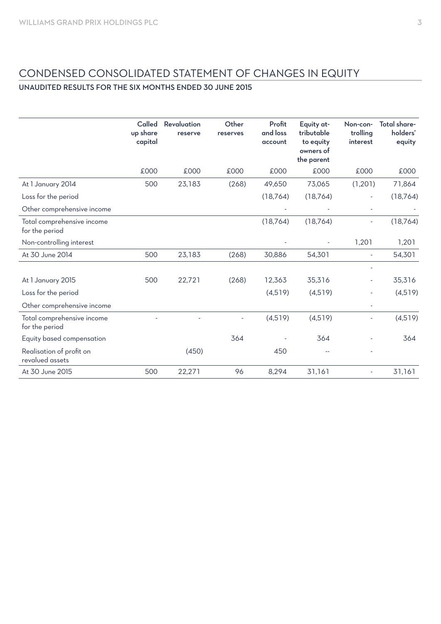## CONDENSED CONSOLIDATED STATEMENT OF CHANGES IN EQUITY

## UNAUDITED RESULTS FOR THE SIX MONTHS ENDED 30 JUNE 2015

|                                              | Called<br>up share<br>capital | Revaluation<br>reserve | Other<br>reserves | Profit<br>and loss<br>account | Equity at-<br>tributable<br>to equity<br>owners of<br>the parent | Non-con-<br>trolling<br>interest | Total share-<br>holders'<br>equity |
|----------------------------------------------|-------------------------------|------------------------|-------------------|-------------------------------|------------------------------------------------------------------|----------------------------------|------------------------------------|
|                                              | £000                          | £000                   | £000              | £000                          | £000                                                             | £000                             | £000                               |
| At 1 January 2014                            | 500                           | 23,183                 | (268)             | 49,650                        | 73,065                                                           | (1,201)                          | 71,864                             |
| Loss for the period                          |                               |                        |                   | (18, 764)                     | (18, 764)                                                        |                                  | (18, 764)                          |
| Other comprehensive income                   |                               |                        |                   |                               |                                                                  |                                  |                                    |
| Total comprehensive income<br>for the period |                               |                        |                   | (18, 764)                     | (18, 764)                                                        |                                  | (18, 764)                          |
| Non-controlling interest                     |                               |                        |                   |                               |                                                                  | 1,201                            | 1,201                              |
| At 30 June 2014                              | 500                           | 23,183                 | (268)             | 30,886                        | 54,301                                                           | ÷                                | 54,301                             |
|                                              |                               |                        |                   |                               |                                                                  |                                  |                                    |
| At 1 January 2015                            | 500                           | 22,721                 | (268)             | 12,363                        | 35,316                                                           |                                  | 35,316                             |
| Loss for the period                          |                               |                        |                   | (4,519)                       | (4,519)                                                          |                                  | (4,519)                            |
| Other comprehensive income                   |                               |                        |                   |                               |                                                                  |                                  |                                    |
| Total comprehensive income<br>for the period |                               |                        |                   | (4,519)                       | (4,519)                                                          |                                  | (4,519)                            |
| Equity based compensation                    |                               |                        | 364               |                               | 364                                                              |                                  | 364                                |
| Realisation of profit on<br>revalued assets  |                               | (450)                  |                   | 450                           |                                                                  |                                  |                                    |
| At 30 June 2015                              | 500                           | 22,271                 | 96                | 8,294                         | 31,161                                                           |                                  | 31,161                             |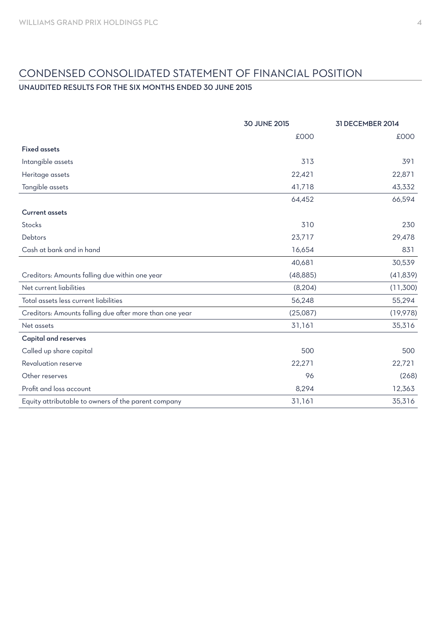## CONDENSED CONSOLIDATED STATEMENT OF FINANCIAL POSITION

## UNAUDITED RESULTS FOR THE SIX MONTHS ENDED 30 JUNE 2015

|                                                         | <b>30 JUNE 2015</b> | 31 DECEMBER 2014 |
|---------------------------------------------------------|---------------------|------------------|
|                                                         | £000                | £000             |
| <b>Fixed assets</b>                                     |                     |                  |
| Intangible assets                                       | 313                 | 391              |
| Heritage assets                                         | 22,421              | 22,871           |
| Tangible assets                                         | 41,718              | 43,332           |
|                                                         | 64,452              | 66,594           |
| <b>Current assets</b>                                   |                     |                  |
| Stocks                                                  | 310                 | 230              |
| Debtors                                                 | 23,717              | 29,478           |
| Cash at bank and in hand                                | 16,654              | 831              |
|                                                         | 40,681              | 30,539           |
| Creditors: Amounts falling due within one year          | (48, 885)           | (41, 839)        |
| Net current liabilities                                 | (8, 204)            | (11,300)         |
| Total assets less current liabilities                   | 56,248              | 55,294           |
| Creditors: Amounts falling due after more than one year | (25,087)            | (19,978)         |
| Net assets                                              | 31,161              | 35,316           |
| <b>Capital and reserves</b>                             |                     |                  |
| Called up share capital                                 | 500                 | 500              |
| Revaluation reserve                                     | 22,271              | 22,721           |
| Other reserves                                          | 96                  | (268)            |
| Profit and loss account                                 | 8,294               | 12,363           |
| Equity attributable to owners of the parent company     | 31,161              | 35,316           |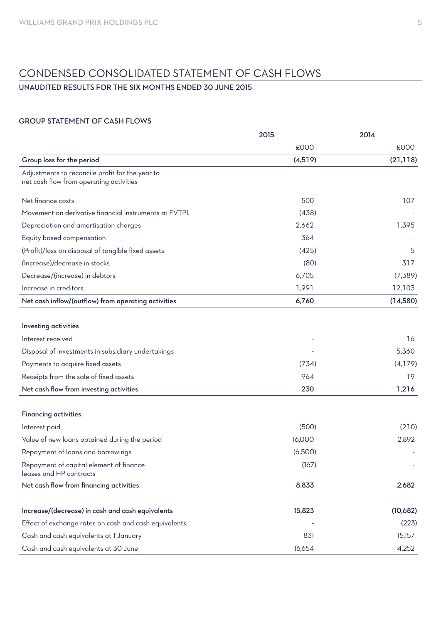## CONDENSED CONSOLIDATED STATEMENT OF CASH FLOWS

## UNAUDITED RESULTS FOR THE SIX MONTHS ENDED 30 JUNE 2015

## GROUP STATEMENT OF CASH FLOWS

| £000<br>£000<br>Group loss for the period<br>(21, 118)<br>(4,519)<br>Adjustments to reconcile profit for the year to<br>net cash flow from operating activities<br>500<br>107<br>Net finance costs<br>Movement on derivative financial instruments at FVTPL<br>(438)<br>1,395<br>Depreciation and amortisation charges<br>2,662<br>364<br>Equity based compensation<br>(Profit)/loss on disposal of tangible fixed assets<br>(425)<br>5<br>(Increase)/decrease in stocks<br>317<br>(80)<br>Decrease/(increase) in debtors<br>6,705<br>(7,389)<br>Increase in creditors<br>1,991<br>12,103<br>Net cash inflow/(outflow) from operating activities<br>(14,580)<br>6,760<br>Investing activities<br>Interest received<br>16<br>5,360<br>Disposal of investments in subsidiary undertakings<br>Payments to acquire fixed assets<br>(734)<br>(4,179)<br>964<br>Receipts from the sale of fixed assets<br>19<br>230<br>1,216<br>Net cash flow from investing activities<br><b>Financing activities</b><br>(500)<br>(210)<br>Interest paid<br>16,000<br>2,892<br>Value of new loans obtained during the period<br>(6,500)<br>Repayment of loans and borrowings<br>Repayment of capital element of finance<br>(167)<br>leases and HP contracts<br>Net cash flow from financing activities<br>8,833<br>2,682<br>Increase/(decrease) in cash and cash equivalents<br>15,823<br>(10,682)<br>Effect of exchange rates on cash and cash equivalents<br>(223)<br>831<br>15,157<br>Cash and cash equivalents at 1 January |                                      | 2015   | 2014  |
|------------------------------------------------------------------------------------------------------------------------------------------------------------------------------------------------------------------------------------------------------------------------------------------------------------------------------------------------------------------------------------------------------------------------------------------------------------------------------------------------------------------------------------------------------------------------------------------------------------------------------------------------------------------------------------------------------------------------------------------------------------------------------------------------------------------------------------------------------------------------------------------------------------------------------------------------------------------------------------------------------------------------------------------------------------------------------------------------------------------------------------------------------------------------------------------------------------------------------------------------------------------------------------------------------------------------------------------------------------------------------------------------------------------------------------------------------------------------------------------------------------|--------------------------------------|--------|-------|
|                                                                                                                                                                                                                                                                                                                                                                                                                                                                                                                                                                                                                                                                                                                                                                                                                                                                                                                                                                                                                                                                                                                                                                                                                                                                                                                                                                                                                                                                                                            |                                      |        |       |
|                                                                                                                                                                                                                                                                                                                                                                                                                                                                                                                                                                                                                                                                                                                                                                                                                                                                                                                                                                                                                                                                                                                                                                                                                                                                                                                                                                                                                                                                                                            |                                      |        |       |
|                                                                                                                                                                                                                                                                                                                                                                                                                                                                                                                                                                                                                                                                                                                                                                                                                                                                                                                                                                                                                                                                                                                                                                                                                                                                                                                                                                                                                                                                                                            |                                      |        |       |
|                                                                                                                                                                                                                                                                                                                                                                                                                                                                                                                                                                                                                                                                                                                                                                                                                                                                                                                                                                                                                                                                                                                                                                                                                                                                                                                                                                                                                                                                                                            |                                      |        |       |
|                                                                                                                                                                                                                                                                                                                                                                                                                                                                                                                                                                                                                                                                                                                                                                                                                                                                                                                                                                                                                                                                                                                                                                                                                                                                                                                                                                                                                                                                                                            |                                      |        |       |
|                                                                                                                                                                                                                                                                                                                                                                                                                                                                                                                                                                                                                                                                                                                                                                                                                                                                                                                                                                                                                                                                                                                                                                                                                                                                                                                                                                                                                                                                                                            |                                      |        |       |
|                                                                                                                                                                                                                                                                                                                                                                                                                                                                                                                                                                                                                                                                                                                                                                                                                                                                                                                                                                                                                                                                                                                                                                                                                                                                                                                                                                                                                                                                                                            |                                      |        |       |
|                                                                                                                                                                                                                                                                                                                                                                                                                                                                                                                                                                                                                                                                                                                                                                                                                                                                                                                                                                                                                                                                                                                                                                                                                                                                                                                                                                                                                                                                                                            |                                      |        |       |
|                                                                                                                                                                                                                                                                                                                                                                                                                                                                                                                                                                                                                                                                                                                                                                                                                                                                                                                                                                                                                                                                                                                                                                                                                                                                                                                                                                                                                                                                                                            |                                      |        |       |
|                                                                                                                                                                                                                                                                                                                                                                                                                                                                                                                                                                                                                                                                                                                                                                                                                                                                                                                                                                                                                                                                                                                                                                                                                                                                                                                                                                                                                                                                                                            |                                      |        |       |
|                                                                                                                                                                                                                                                                                                                                                                                                                                                                                                                                                                                                                                                                                                                                                                                                                                                                                                                                                                                                                                                                                                                                                                                                                                                                                                                                                                                                                                                                                                            |                                      |        |       |
|                                                                                                                                                                                                                                                                                                                                                                                                                                                                                                                                                                                                                                                                                                                                                                                                                                                                                                                                                                                                                                                                                                                                                                                                                                                                                                                                                                                                                                                                                                            |                                      |        |       |
|                                                                                                                                                                                                                                                                                                                                                                                                                                                                                                                                                                                                                                                                                                                                                                                                                                                                                                                                                                                                                                                                                                                                                                                                                                                                                                                                                                                                                                                                                                            |                                      |        |       |
|                                                                                                                                                                                                                                                                                                                                                                                                                                                                                                                                                                                                                                                                                                                                                                                                                                                                                                                                                                                                                                                                                                                                                                                                                                                                                                                                                                                                                                                                                                            |                                      |        |       |
|                                                                                                                                                                                                                                                                                                                                                                                                                                                                                                                                                                                                                                                                                                                                                                                                                                                                                                                                                                                                                                                                                                                                                                                                                                                                                                                                                                                                                                                                                                            |                                      |        |       |
|                                                                                                                                                                                                                                                                                                                                                                                                                                                                                                                                                                                                                                                                                                                                                                                                                                                                                                                                                                                                                                                                                                                                                                                                                                                                                                                                                                                                                                                                                                            |                                      |        |       |
|                                                                                                                                                                                                                                                                                                                                                                                                                                                                                                                                                                                                                                                                                                                                                                                                                                                                                                                                                                                                                                                                                                                                                                                                                                                                                                                                                                                                                                                                                                            |                                      |        |       |
|                                                                                                                                                                                                                                                                                                                                                                                                                                                                                                                                                                                                                                                                                                                                                                                                                                                                                                                                                                                                                                                                                                                                                                                                                                                                                                                                                                                                                                                                                                            |                                      |        |       |
|                                                                                                                                                                                                                                                                                                                                                                                                                                                                                                                                                                                                                                                                                                                                                                                                                                                                                                                                                                                                                                                                                                                                                                                                                                                                                                                                                                                                                                                                                                            |                                      |        |       |
|                                                                                                                                                                                                                                                                                                                                                                                                                                                                                                                                                                                                                                                                                                                                                                                                                                                                                                                                                                                                                                                                                                                                                                                                                                                                                                                                                                                                                                                                                                            |                                      |        |       |
|                                                                                                                                                                                                                                                                                                                                                                                                                                                                                                                                                                                                                                                                                                                                                                                                                                                                                                                                                                                                                                                                                                                                                                                                                                                                                                                                                                                                                                                                                                            |                                      |        |       |
|                                                                                                                                                                                                                                                                                                                                                                                                                                                                                                                                                                                                                                                                                                                                                                                                                                                                                                                                                                                                                                                                                                                                                                                                                                                                                                                                                                                                                                                                                                            |                                      |        |       |
|                                                                                                                                                                                                                                                                                                                                                                                                                                                                                                                                                                                                                                                                                                                                                                                                                                                                                                                                                                                                                                                                                                                                                                                                                                                                                                                                                                                                                                                                                                            |                                      |        |       |
|                                                                                                                                                                                                                                                                                                                                                                                                                                                                                                                                                                                                                                                                                                                                                                                                                                                                                                                                                                                                                                                                                                                                                                                                                                                                                                                                                                                                                                                                                                            |                                      |        |       |
|                                                                                                                                                                                                                                                                                                                                                                                                                                                                                                                                                                                                                                                                                                                                                                                                                                                                                                                                                                                                                                                                                                                                                                                                                                                                                                                                                                                                                                                                                                            |                                      |        |       |
|                                                                                                                                                                                                                                                                                                                                                                                                                                                                                                                                                                                                                                                                                                                                                                                                                                                                                                                                                                                                                                                                                                                                                                                                                                                                                                                                                                                                                                                                                                            |                                      |        |       |
|                                                                                                                                                                                                                                                                                                                                                                                                                                                                                                                                                                                                                                                                                                                                                                                                                                                                                                                                                                                                                                                                                                                                                                                                                                                                                                                                                                                                                                                                                                            |                                      |        |       |
|                                                                                                                                                                                                                                                                                                                                                                                                                                                                                                                                                                                                                                                                                                                                                                                                                                                                                                                                                                                                                                                                                                                                                                                                                                                                                                                                                                                                                                                                                                            |                                      |        |       |
|                                                                                                                                                                                                                                                                                                                                                                                                                                                                                                                                                                                                                                                                                                                                                                                                                                                                                                                                                                                                                                                                                                                                                                                                                                                                                                                                                                                                                                                                                                            |                                      |        |       |
|                                                                                                                                                                                                                                                                                                                                                                                                                                                                                                                                                                                                                                                                                                                                                                                                                                                                                                                                                                                                                                                                                                                                                                                                                                                                                                                                                                                                                                                                                                            | Cash and cash equivalents at 30 June | 16,654 | 4,252 |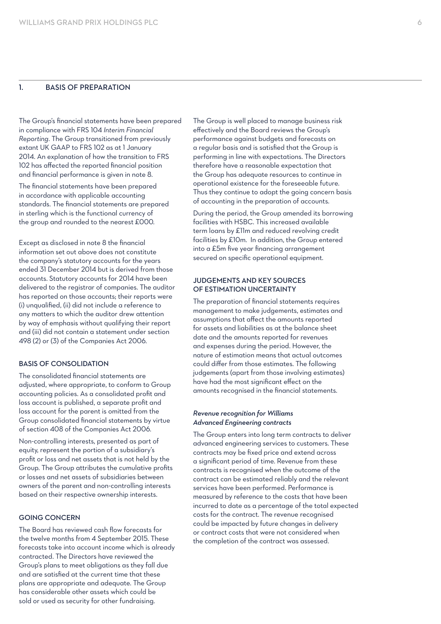### 1. BASIS OF PREPARATION

The Group's financial statements have been prepared in compliance with FRS 104 *Interim Financial Reporting*. The Group transitioned from previously extant UK GAAP to FRS 102 as at 1 January 2014. An explanation of how the transition to FRS 102 has affected the reported financial position and financial performance is given in note 8.

The financial statements have been prepared in accordance with applicable accounting standards. The financial statements are prepared in sterling which is the functional currency of the group and rounded to the nearest £000.

Except as disclosed in note 8 the financial information set out above does not constitute the company's statutory accounts for the years ended 31 December 2014 but is derived from those accounts. Statutory accounts for 2014 have been delivered to the registrar of companies. The auditor has reported on those accounts; their reports were (i) unqualified, (ii) did not include a reference to any matters to which the auditor drew attention by way of emphasis without qualifying their report and (iii) did not contain a statement under section 498 (2) or (3) of the Companies Act 2006.

#### BASIS OF CONSOLIDATION

The consolidated financial statements are adjusted, where appropriate, to conform to Group accounting policies. As a consolidated profit and loss account is published, a separate profit and loss account for the parent is omitted from the Group consolidated financial statements by virtue of section 408 of the Companies Act 2006.

Non-controlling interests, presented as part of equity, represent the portion of a subsidiary's profit or loss and net assets that is not held by the Group. The Group attributes the cumulative profits or losses and net assets of subsidiaries between owners of the parent and non-controlling interests based on their respective ownership interests.

#### GOING CONCERN

The Board has reviewed cash flow forecasts for the twelve months from 4 September 2015. These forecasts take into account income which is already contracted. The Directors have reviewed the Group's plans to meet obligations as they fall due and are satisfied at the current time that these plans are appropriate and adequate. The Group has considerable other assets which could be sold or used as security for other fundraising.

The Group is well placed to manage business risk effectively and the Board reviews the Group's performance against budgets and forecasts on a regular basis and is satisfied that the Group is performing in line with expectations. The Directors therefore have a reasonable expectation that the Group has adequate resources to continue in operational existence for the foreseeable future. Thus they continue to adopt the going concern basis of accounting in the preparation of accounts.

During the period, the Group amended its borrowing facilities with HSBC. This increased available term loans by £11m and reduced revolving credit facilities by £10m. In addition, the Group entered into a £5m five year financing arrangement secured on specific operational equipment.

#### JUDGEMENTS AND KEY SOURCES OF ESTIMATION UNCERTAINTY

The preparation of financial statements requires management to make judgements, estimates and assumptions that affect the amounts reported for assets and liabilities as at the balance sheet date and the amounts reported for revenues and expenses during the period. However, the nature of estimation means that actual outcomes could differ from those estimates. The following judgements (apart from those involving estimates) have had the most significant effect on the amounts recognised in the financial statements.

#### *Revenue recognition for Williams Advanced Engineering contracts*

The Group enters into long term contracts to deliver advanced engineering services to customers. These contracts may be fixed price and extend across a significant period of time. Revenue from these contracts is recognised when the outcome of the contract can be estimated reliably and the relevant services have been performed. Performance is measured by reference to the costs that have been incurred to date as a percentage of the total expected costs for the contract. The revenue recognised could be impacted by future changes in delivery or contract costs that were not considered when the completion of the contract was assessed.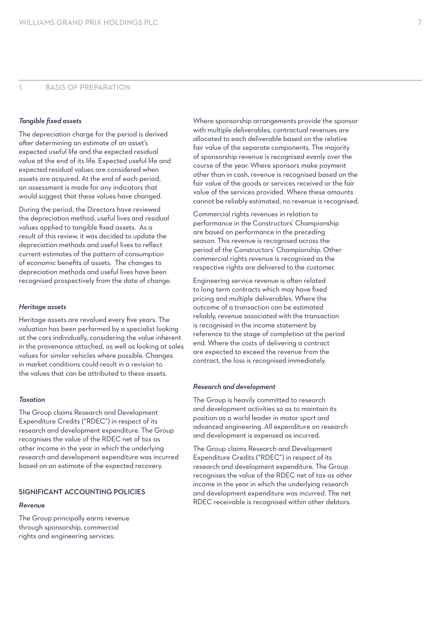## 1. BASIS OF PREPARATION

#### *Tangible fixed assets*

The depreciation charge for the period is derived after determining an estimate of an asset's expected useful life and the expected residual value at the end of its life. Expected useful life and expected residual values are considered when assets are acquired. At the end of each period, an assessment is made for any indicators that would suggest that these values have changed.

During the period, the Directors have reviewed the depreciation method, useful lives and residual values applied to tangible fixed assets. As a result of this review, it was decided to update the depreciation methods and useful lives to reflect current estimates of the pattern of consumption of economic benefits of assets. The changes to depreciation methods and useful lives have been recognised prospectively from the date of change.

#### *Heritage assets*

Heritage assets are revalued every five years. The valuation has been performed by a specialist looking at the cars individually, considering the value inherent in the provenance attached, as well as looking at sales values for similar vehicles where possible. Changes in market conditions could result in a revision to the values that can be attributed to these assets.

#### *Taxation*

The Group claims Research and Development Expenditure Credits ("RDEC") in respect of its research and development expenditure. The Group recognises the value of the RDEC net of tax as other income in the year in which the underlying research and development expenditure was incurred based on an estimate of the expected recovery.

#### SIGNIFICANT ACCOUNTING POLICIES

#### *Revenue*

The Group principally earns revenue through sponsorship, commercial rights and engineering services.

Where sponsorship arrangements provide the sponsor with multiple deliverables, contractual revenues are allocated to each deliverable based on the relative fair value of the separate components. The majority of sponsorship revenue is recognised evenly over the course of the year. Where sponsors make payment other than in cash, revenue is recognised based on the fair value of the goods or services received or the fair value of the services provided. Where these amounts cannot be reliably estimated, no revenue is recognised.

Commercial rights revenues in relation to performance in the Constructors' Championship are based on performance in the preceding season. This revenue is recognised across the period of the Constructors' Championship. Other commercial rights revenue is recognised as the respective rights are delivered to the customer.

Engineering service revenue is often related to long term contracts which may have fixed pricing and multiple deliverables. Where the outcome of a transaction can be estimated reliably, revenue associated with the transaction is recognised in the income statement by reference to the stage of completion at the period end. Where the costs of delivering a contract are expected to exceed the revenue from the contract, the loss is recognised immediately.

#### *Research and development*

The Group is heavily committed to research and development activities so as to maintain its position as a world leader in motor sport and advanced engineering. All expenditure on research and development is expensed as incurred.

The Group claims Research and Development Expenditure Credits ("RDEC") in respect of its research and development expenditure. The Group recognises the value of the RDEC net of tax as other income in the year in which the underlying research and development expenditure was incurred. The net RDEC receivable is recognised within other debtors.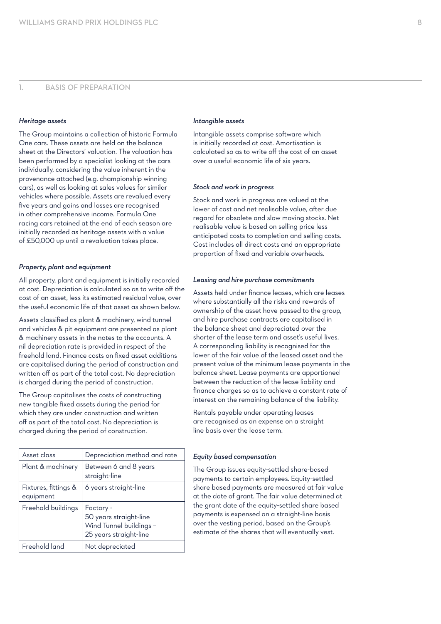#### *Heritage assets*

The Group maintains a collection of historic Formula One cars. These assets are held on the balance sheet at the Directors' valuation. The valuation has been performed by a specialist looking at the cars individually, considering the value inherent in the provenance attached (e.g. championship winning cars), as well as looking at sales values for similar vehicles where possible. Assets are revalued every five years and gains and losses are recognised in other comprehensive income. Formula One racing cars retained at the end of each season are initially recorded as heritage assets with a value of £50,000 up until a revaluation takes place.

#### *Property, plant and equipment*

All property, plant and equipment is initially recorded at cost. Depreciation is calculated so as to write off the cost of an asset, less its estimated residual value, over the useful economic life of that asset as shown below.

Assets classified as plant & machinery, wind tunnel and vehicles & pit equipment are presented as plant & machinery assets in the notes to the accounts. A nil depreciation rate is provided in respect of the freehold land. Finance costs on fixed asset additions are capitalised during the period of construction and written off as part of the total cost. No depreciation is charged during the period of construction.

The Group capitalises the costs of constructing new tangible fixed assets during the period for which they are under construction and written off as part of the total cost. No depreciation is charged during the period of construction.

| Asset class                       | Depreciation method and rate                                                             |
|-----------------------------------|------------------------------------------------------------------------------------------|
| Plant & machinery                 | Between 6 and 8 years<br>straight-line                                                   |
| Fixtures, fittings &<br>equipment | 6 years straight-line                                                                    |
| Freehold buildings                | Factory -<br>50 years straight-line<br>Wind Tunnel buildings -<br>25 years straight-line |
| Freehold land                     | Not depreciated                                                                          |

#### *Intangible assets*

Intangible assets comprise software which is initially recorded at cost. Amortisation is calculated so as to write off the cost of an asset over a useful economic life of six years.

#### *Stock and work in progress*

Stock and work in progress are valued at the lower of cost and net realisable value, after due regard for obsolete and slow moving stocks. Net realisable value is based on selling price less anticipated costs to completion and selling costs. Cost includes all direct costs and an appropriate proportion of fixed and variable overheads.

#### *Leasing and hire purchase commitments*

Assets held under finance leases, which are leases where substantially all the risks and rewards of ownership of the asset have passed to the group, and hire purchase contracts are capitalised in the balance sheet and depreciated over the shorter of the lease term and asset's useful lives. A corresponding liability is recognised for the lower of the fair value of the leased asset and the present value of the minimum lease payments in the balance sheet. Lease payments are apportioned between the reduction of the lease liability and finance charges so as to achieve a constant rate of interest on the remaining balance of the liability.

Rentals payable under operating leases are recognised as an expense on a straight line basis over the lease term.

#### *Equity based compensation*

The Group issues equity-settled share-based payments to certain employees. Equity-settled share based payments are measured at fair value at the date of grant. The fair value determined at the grant date of the equity-settled share based payments is expensed on a straight-line basis over the vesting period, based on the Group's estimate of the shares that will eventually vest.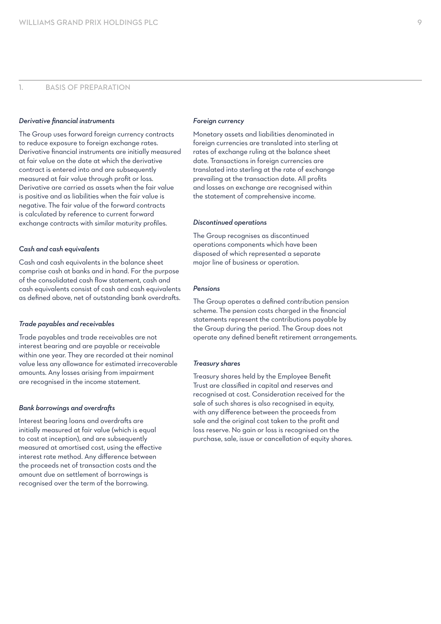## 1. BASIS OF PREPARATION

#### *Derivative financial instruments*

The Group uses forward foreign currency contracts to reduce exposure to foreign exchange rates. Derivative financial instruments are initially measured at fair value on the date at which the derivative contract is entered into and are subsequently measured at fair value through profit or loss. Derivative are carried as assets when the fair value is positive and as liabilities when the fair value is negative. The fair value of the forward contracts is calculated by reference to current forward exchange contracts with similar maturity profiles.

#### *Cash and cash equivalents*

Cash and cash equivalents in the balance sheet comprise cash at banks and in hand. For the purpose of the consolidated cash flow statement, cash and cash equivalents consist of cash and cash equivalents as defined above, net of outstanding bank overdrafts.

#### *Trade payables and receivables*

Trade payables and trade receivables are not interest bearing and are payable or receivable within one year. They are recorded at their nominal value less any allowance for estimated irrecoverable amounts. Any losses arising from impairment are recognised in the income statement.

#### *Bank borrowings and overdrafts*

Interest bearing loans and overdrafts are initially measured at fair value (which is equal to cost at inception), and are subsequently measured at amortised cost, using the effective interest rate method. Any difference between the proceeds net of transaction costs and the amount due on settlement of borrowings is recognised over the term of the borrowing.

#### *Foreign currency*

Monetary assets and liabilities denominated in foreign currencies are translated into sterling at rates of exchange ruling at the balance sheet date. Transactions in foreign currencies are translated into sterling at the rate of exchange prevailing at the transaction date. All profits and losses on exchange are recognised within the statement of comprehensive income.

#### *Discontinued operations*

The Group recognises as discontinued operations components which have been disposed of which represented a separate major line of business or operation.

#### *Pensions*

The Group operates a defined contribution pension scheme. The pension costs charged in the financial statements represent the contributions payable by the Group during the period. The Group does not operate any defined benefit retirement arrangements.

#### *Treasury shares*

Treasury shares held by the Employee Benefit Trust are classified in capital and reserves and recognised at cost. Consideration received for the sale of such shares is also recognised in equity, with any difference between the proceeds from sale and the original cost taken to the profit and loss reserve. No gain or loss is recognised on the purchase, sale, issue or cancellation of equity shares.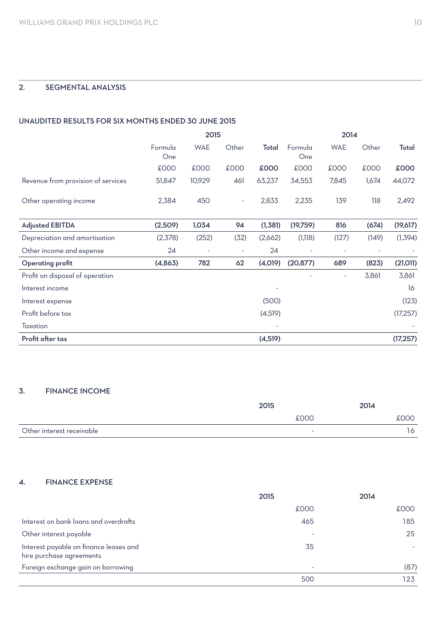## 2. SEGMENTAL ANALYSIS

### UNAUDITED RESULTS FOR SIX MONTHS ENDED 30 JUNE 2015

|                                    | 2015           |            |                          | 2014    |                          |                          |             |           |
|------------------------------------|----------------|------------|--------------------------|---------|--------------------------|--------------------------|-------------|-----------|
|                                    | Formula<br>One | <b>WAE</b> | Other                    | Total   | Formula<br>One           | <b>WAE</b>               | Other       | Total     |
|                                    | £000           | £000       | £000                     | £000    | £000                     | £000                     | <b>COO3</b> | £000      |
| Revenue from provision of services | 51,847         | 10,929     | 461                      | 63,237  | 34,553                   | 7,845                    | 1,674       | 44,072    |
| Other operating income             | 2,384          | 450        | ٠                        | 2,833   | 2,235                    | 139                      | 118         | 2,492     |
| <b>Adjusted EBITDA</b>             | (2,509)        | 1,034      | 94                       | (1,381) | (19,759)                 | 816                      | (674)       | (19,617)  |
| Depreciation and amortisation      | (2,378)        | (252)      | (32)                     | (2,662) | (1, 118)                 | (127)                    | (149)       | (1, 394)  |
| Other income and expense           | 24             | ۰          | $\overline{\phantom{a}}$ | 24      | $\overline{\phantom{a}}$ | ٠                        | ٠           |           |
| <b>Operating profit</b>            | (4,863)        | 782        | 62                       | (4,019) | (20, 877)                | 689                      | (823)       | (21, 011) |
| Profit on disposal of operation    |                |            |                          |         |                          | $\overline{\phantom{a}}$ | 3,861       | 3,861     |
| Interest income                    |                |            |                          |         |                          |                          |             | 16        |
| Interest expense                   |                |            |                          | (500)   |                          |                          |             | (123)     |
| Profit before tax                  |                |            |                          | (4,519) |                          |                          |             | (17, 257) |
| Taxation                           |                |            |                          |         |                          |                          |             |           |
| Profit after tax                   |                |            |                          | (4,519) |                          |                          |             | (17, 257) |

## 3. FINANCE INCOME

|                           | 2015 | 2014    |
|---------------------------|------|---------|
|                           | £000 | 000:    |
| Other interest receivable | -    | $\circ$ |

### 4. FINANCE EXPENSE

|                                                                    | 2015 | 2014 |
|--------------------------------------------------------------------|------|------|
|                                                                    | £000 | £000 |
| Interest on bank loans and overdrafts                              | 465  | 185  |
| Other interest payable                                             |      | 25   |
| Interest payable on finance leases and<br>hire purchase agreements | 35   |      |
| Foreign exchange gain on borrowing                                 | ۰    | (87) |
|                                                                    | 500  | 123  |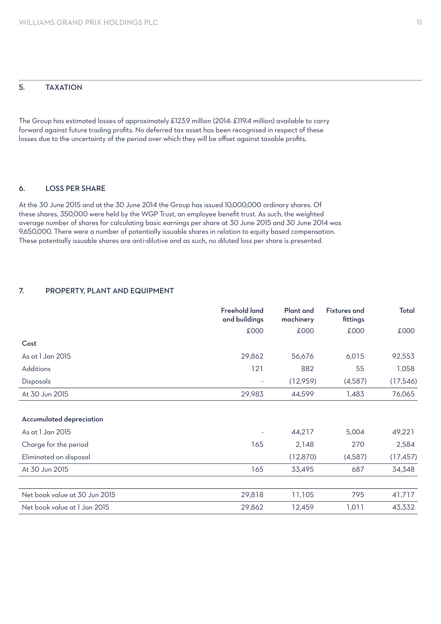## 5. TAXATION

The Group has estimated losses of approximately £123.9 million (2014: £119.4 million) available to carry forward against future trading profits. No deferred tax asset has been recognised in respect of these losses due to the uncertainty of the period over which they will be offset against taxable profits.

#### 6. LOSS PER SHARE

At the 30 June 2015 and at the 30 June 2014 the Group has issued 10,000,000 ordinary shares. Of these shares, 350,000 were held by the WGP Trust, an employee benefit trust. As such, the weighted average number of shares for calculating basic earnings per share at 30 June 2015 and 30 June 2014 was 9,650,000. There were a number of potentially issuable shares in relation to equity based compensation. These potentially issuable shares are anti-dilutive and as such, no diluted loss per share is presented.

### 7. PROPERTY, PLANT AND EQUIPMENT

|                               | <b>Freehold land</b><br>and buildings | <b>Plant</b> and<br>machinery | <b>Fixtures and</b><br>fittings | Total     |
|-------------------------------|---------------------------------------|-------------------------------|---------------------------------|-----------|
|                               | £000                                  | £000                          | £000                            | £000      |
| Cost                          |                                       |                               |                                 |           |
| As at 1 Jan 2015              | 29,862                                | 56,676                        | 6,015                           | 92,553    |
| Additions                     | 121                                   | 882                           | 55                              | 1,058     |
| <b>Disposals</b>              | $\overline{a}$                        | (12,959)                      | (4,587)                         | (17,546)  |
| At 30 Jun 2015                | 29,983                                | 44,599                        | 1,483                           | 76,065    |
|                               |                                       |                               |                                 |           |
| Accumulated depreciation      |                                       |                               |                                 |           |
| As at 1 Jan 2015              |                                       | 44,217                        | 5,004                           | 49,221    |
| Charge for the period         | 165                                   | 2,148                         | 270                             | 2,584     |
| Eliminated on disposal        |                                       | (12, 870)                     | (4,587)                         | (17, 457) |
| At 30 Jun 2015                | 165                                   | 33,495                        | 687                             | 34,348    |
|                               |                                       |                               |                                 |           |
| Net book value at 30 Jun 2015 | 29,818                                | 11,105                        | 795                             | 41,717    |
| Net book value at 1 Jan 2015  | 29,862                                | 12,459                        | 1,011                           | 43,332    |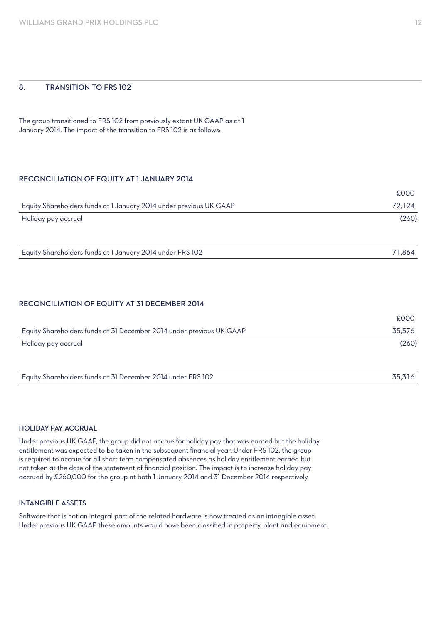#### 8. TRANSITION TO FRS 102

The group transitioned to FRS 102 from previously extant UK GAAP as at 1 January 2014. The impact of the transition to FRS 102 is as follows:

#### RECONCILIATION OF EQUITY AT 1 JANUARY 2014

|                                                                    | £000   |
|--------------------------------------------------------------------|--------|
| Equity Shareholders funds at 1 January 2014 under previous UK GAAP | 72,124 |
| Holiday pay accrual                                                | (260)  |
|                                                                    |        |
|                                                                    |        |

Equity Shareholders funds at 1 January 2014 under FRS 102 71,864

#### RECONCILIATION OF EQUITY AT 31 DECEMBER 2014

|                                                                      | £000   |
|----------------------------------------------------------------------|--------|
| Equity Shareholders funds at 31 December 2014 under previous UK GAAP | 35.576 |
| Holiday pay accrual                                                  | (260)  |
|                                                                      |        |

#### HOLIDAY PAY ACCRUAL

Under previous UK GAAP, the group did not accrue for holiday pay that was earned but the holiday entitlement was expected to be taken in the subsequent financial year. Under FRS 102, the group is required to accrue for all short term compensated absences as holiday entitlement earned but not taken at the date of the statement of financial position. The impact is to increase holiday pay accrued by £260,000 for the group at both 1 January 2014 and 31 December 2014 respectively.

#### INTANGIBLE ASSETS

Software that is not an integral part of the related hardware is now treated as an intangible asset. Under previous UK GAAP these amounts would have been classified in property, plant and equipment.